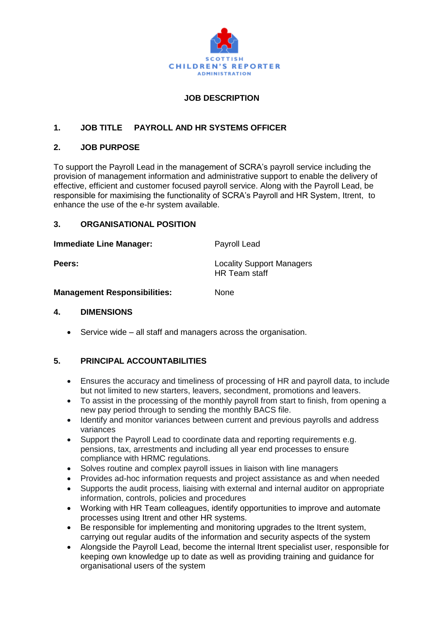

# **JOB DESCRIPTION**

# **1. JOB TITLE PAYROLL AND HR SYSTEMS OFFICER**

### **2. JOB PURPOSE**

To support the Payroll Lead in the management of SCRA's payroll service including the provision of management information and administrative support to enable the delivery of effective, efficient and customer focused payroll service. Along with the Payroll Lead, be responsible for maximising the functionality of SCRA's Payroll and HR System, Itrent, to enhance the use of the e-hr system available.

### **3. ORGANISATIONAL POSITION**

| <b>Immediate Line Manager:</b> | Payroll Lead |
|--------------------------------|--------------|
|                                |              |

**Peers: Conserversity Peers: Conserversity Locality** Support Managers HR Team staff

### **Management Responsibilities:** None

#### **4. DIMENSIONS**

Service wide – all staff and managers across the organisation.

## **5. PRINCIPAL ACCOUNTABILITIES**

- Ensures the accuracy and timeliness of processing of HR and payroll data, to include but not limited to new starters, leavers, secondment, promotions and leavers.
- To assist in the processing of the monthly payroll from start to finish, from opening a new pay period through to sending the monthly BACS file.
- Identify and monitor variances between current and previous payrolls and address variances
- Support the Payroll Lead to coordinate data and reporting requirements e.g. pensions, tax, arrestments and including all year end processes to ensure compliance with HRMC regulations.
- Solves routine and complex payroll issues in liaison with line managers
- Provides ad-hoc information requests and project assistance as and when needed
- Supports the audit process, liaising with external and internal auditor on appropriate information, controls, policies and procedures
- Working with HR Team colleagues, identify opportunities to improve and automate processes using Itrent and other HR systems.
- Be responsible for implementing and monitoring upgrades to the Itrent system, carrying out regular audits of the information and security aspects of the system
- Alongside the Payroll Lead, become the internal Itrent specialist user, responsible for keeping own knowledge up to date as well as providing training and guidance for organisational users of the system